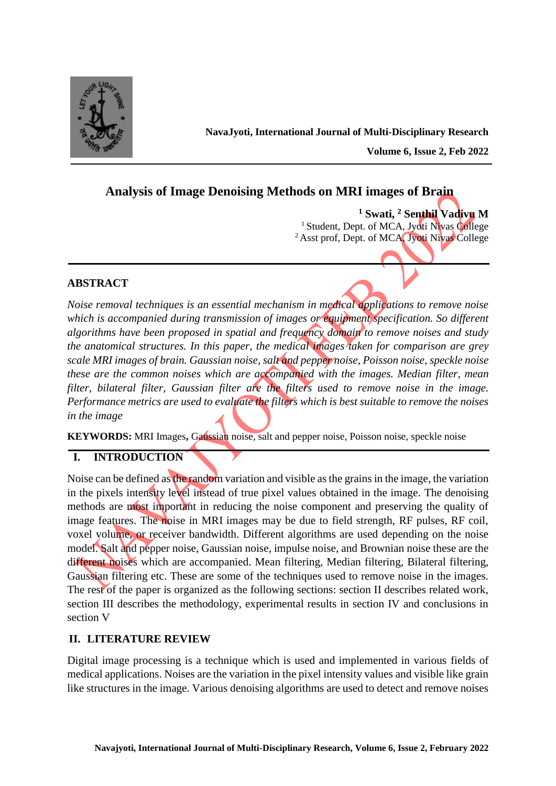

**Volume 6, Issue 2, Feb 2022** 

# **Analysis of Image Denoising Methods on MRI images of Brain**

**<sup>1</sup> Swati, <sup>2</sup> Senthil Vadivu M** <sup>1</sup> Student, Dept. of MCA, Jyoti Nivas College <sup>2</sup> Asst prof, Dept. of MCA, Jyoti Nivas College

# **ABSTRACT**

*Noise removal techniques is an essential mechanism in medical applications to remove noise which is accompanied during transmission of images or equipment specification. So different algorithms have been proposed in spatial and frequency domain to remove noises and study the anatomical structures. In this paper, the medical images taken for comparison are grey scale MRI images of brain. Gaussian noise, salt and pepper noise, Poisson noise, speckle noise these are the common noises which are accompanied with the images. Median filter, mean filter, bilateral filter, Gaussian filter are the filters used to remove noise in the image. Performance metrics are used to evaluate the filters which is best suitable to remove the noises in the image* 

**KEYWORDS:** MRI Images**,** Gaussian noise, salt and pepper noise, Poisson noise, speckle noise

# **I. INTRODUCTION**

Noise can be defined as the random variation and visible as the grains in the image, the variation in the pixels intensity level instead of true pixel values obtained in the image. The denoising methods are most important in reducing the noise component and preserving the quality of image features. The noise in MRI images may be due to field strength, RF pulses, RF coil, voxel volume, or receiver bandwidth. Different algorithms are used depending on the noise model. Salt and pepper noise, Gaussian noise, impulse noise, and Brownian noise these are the different noises which are accompanied. Mean filtering, Median filtering, Bilateral filtering, Gaussian filtering etc. These are some of the techniques used to remove noise in the images. The rest of the paper is organized as the following sections: section II describes related work, section III describes the methodology, experimental results in section IV and conclusions in section V

# **II. LITERATURE REVIEW**

Digital image processing is a technique which is used and implemented in various fields of medical applications. Noises are the variation in the pixel intensity values and visible like grain like structures in the image. Various denoising algorithms are used to detect and remove noises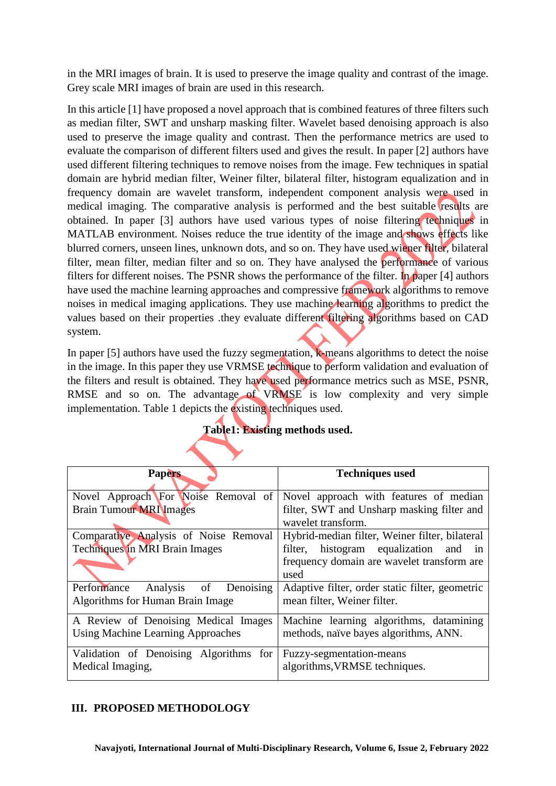in the MRI images of brain. It is used to preserve the image quality and contrast of the image. Grey scale MRI images of brain are used in this research.

In this article [1] have proposed a novel approach that is combined features of three filters such as median filter, SWT and unsharp masking filter. Wavelet based denoising approach is also used to preserve the image quality and contrast. Then the performance metrics are used to evaluate the comparison of different filters used and gives the result. In paper [2] authors have used different filtering techniques to remove noises from the image. Few techniques in spatial domain are hybrid median filter, Weiner filter, bilateral filter, histogram equalization and in frequency domain are wavelet transform, independent component analysis were used in medical imaging. The comparative analysis is performed and the best suitable results are obtained. In paper [3] authors have used various types of noise filtering techniques in MATLAB environment. Noises reduce the true identity of the image and shows effects like blurred corners, unseen lines, unknown dots, and so on. They have used wiener filter, bilateral filter, mean filter, median filter and so on. They have analysed the performance of various filters for different noises. The PSNR shows the performance of the filter. In paper [4] authors have used the machine learning approaches and compressive framework algorithms to remove noises in medical imaging applications. They use machine learning algorithms to predict the values based on their properties .they evaluate different filtering algorithms based on CAD system.

In paper [5] authors have used the fuzzy segmentation, k-means algorithms to detect the noise in the image. In this paper they use VRMSE technique to perform validation and evaluation of the filters and result is obtained. They have used performance metrics such as MSE, PSNR, RMSE and so on. The advantage of VRMSE is low complexity and very simple implementation. Table 1 depicts the existing techniques used.

| <b>Papers</b>                            | <b>Techniques used</b>                             |  |  |  |  |
|------------------------------------------|----------------------------------------------------|--|--|--|--|
| Novel Approach For Noise Removal of      | Novel approach with features of median             |  |  |  |  |
| <b>Brain Tumour MRI Images</b>           | filter, SWT and Unsharp masking filter and         |  |  |  |  |
|                                          | wavelet transform.                                 |  |  |  |  |
| Comparative Analysis of Noise Removal    | Hybrid-median filter, Weiner filter, bilateral     |  |  |  |  |
| Techniques in MRI Brain Images           | filter, histogram equalization and in              |  |  |  |  |
|                                          | frequency domain are wavelet transform are<br>used |  |  |  |  |
| Analysis of Denoising<br>Performance     | Adaptive filter, order static filter, geometric    |  |  |  |  |
| Algorithms for Human Brain Image         | mean filter, Weiner filter.                        |  |  |  |  |
| A Review of Denoising Medical Images     | Machine learning algorithms, datamining            |  |  |  |  |
| <b>Using Machine Learning Approaches</b> | methods, naïve bayes algorithms, ANN.              |  |  |  |  |
| Validation of Denoising Algorithms for   | Fuzzy-segmentation-means                           |  |  |  |  |
| Medical Imaging,                         | algorithms, VRMSE techniques.                      |  |  |  |  |

## **Table1: Existing methods used.**

## **III. PROPOSED METHODOLOGY**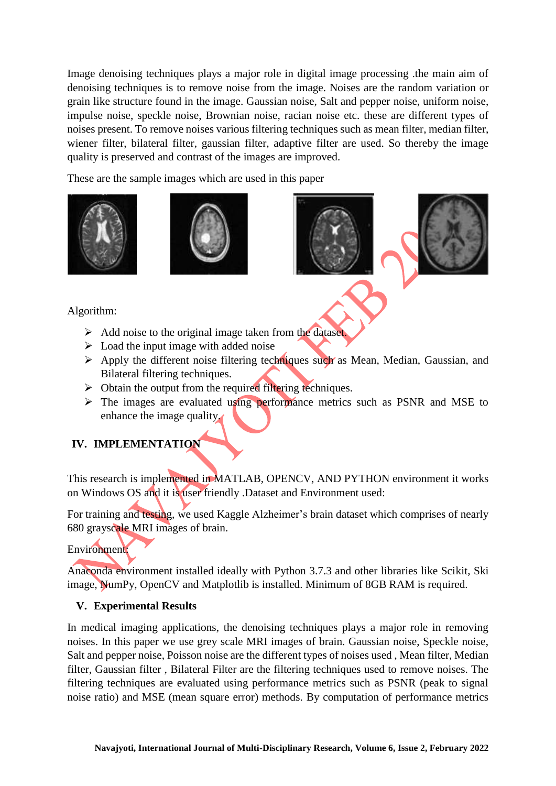Image denoising techniques plays a major role in digital image processing .the main aim of denoising techniques is to remove noise from the image. Noises are the random variation or grain like structure found in the image. Gaussian noise, Salt and pepper noise, uniform noise, impulse noise, speckle noise, Brownian noise, racian noise etc. these are different types of noises present. To remove noises various filtering techniques such as mean filter, median filter, wiener filter, bilateral filter, gaussian filter, adaptive filter are used. So thereby the image quality is preserved and contrast of the images are improved.

These are the sample images which are used in this paper





# Algorithm:

- $\triangleright$  Add noise to the original image taken from the dataset.
- $\triangleright$  Load the input image with added noise
- $\triangleright$  Apply the different noise filtering techniques such as Mean, Median, Gaussian, and Bilateral filtering techniques.
- $\triangleright$  Obtain the output from the required filtering techniques.
- $\triangleright$  The images are evaluated using performance metrics such as PSNR and MSE to enhance the image quality.

# **IV. IMPLEMENTATION**

This research is implemented in MATLAB, OPENCV, AND PYTHON environment it works on Windows OS and it is user friendly .Dataset and Environment used:

For training and testing, we used Kaggle Alzheimer's brain dataset which comprises of nearly 680 grayscale MRI images of brain.

Environment:

Anaconda environment installed ideally with Python 3.7.3 and other libraries like Scikit, Ski image, NumPy, OpenCV and Matplotlib is installed. Minimum of 8GB RAM is required.

## **V. Experimental Results**

In medical imaging applications, the denoising techniques plays a major role in removing noises. In this paper we use grey scale MRI images of brain. Gaussian noise, Speckle noise, Salt and pepper noise, Poisson noise are the different types of noises used , Mean filter, Median filter, Gaussian filter , Bilateral Filter are the filtering techniques used to remove noises. The filtering techniques are evaluated using performance metrics such as PSNR (peak to signal noise ratio) and MSE (mean square error) methods. By computation of performance metrics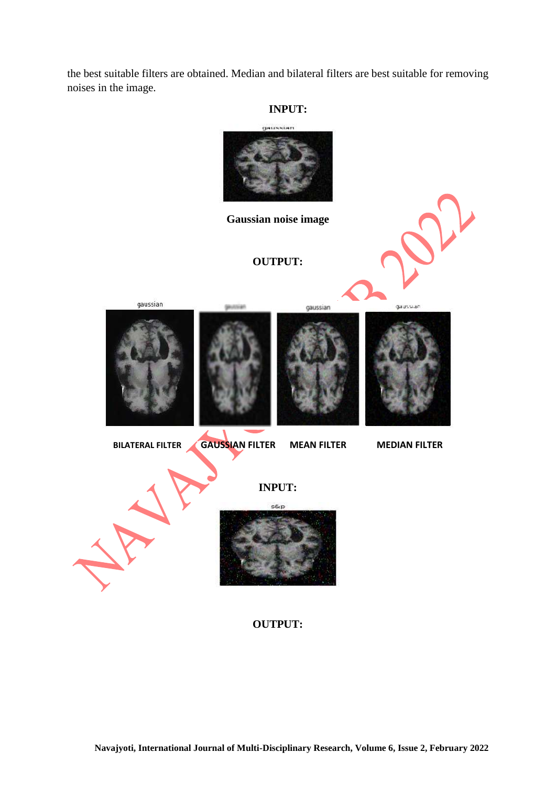the best suitable filters are obtained. Median and bilateral filters are best suitable for removing noises in the image.

#### **INPUT:**



**OUTPUT:**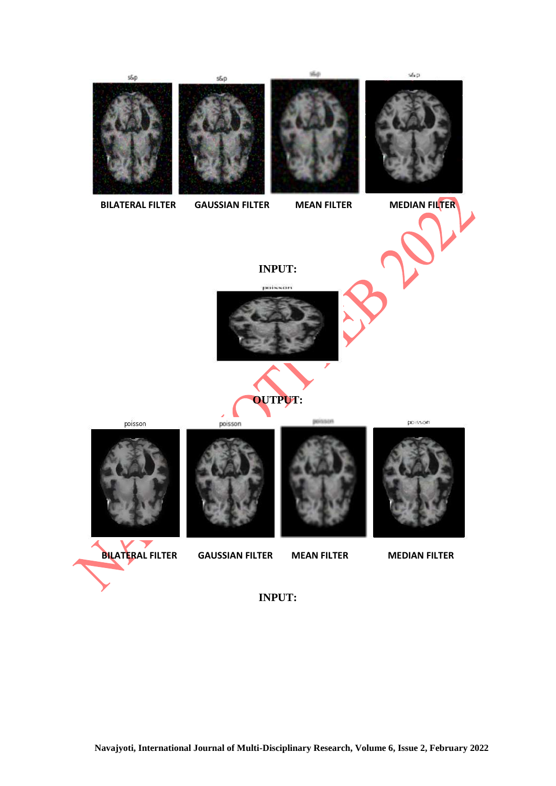

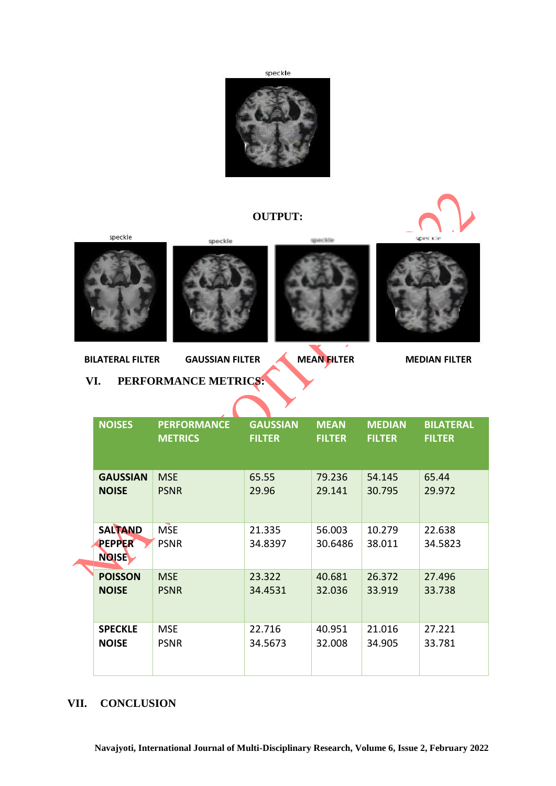



# **OUTPUT:**



speckle







**BILATERAL FILTER GAUSSIAN FILTER MEAN FILTER MEDIAN FILTER**

#### **VI. PERFORMANCE METRICS:**

|  | <b>NOISES</b>                                   | <b>PERFORMANCE</b><br><b>METRICS</b> | <b>GAUSSIAN</b><br><b>FILTER</b> | <b>MEAN</b><br><b>FILTER</b> | <b>MEDIAN</b><br><b>FILTER</b> | <b>BILATERAL</b><br><b>FILTER</b> |  |
|--|-------------------------------------------------|--------------------------------------|----------------------------------|------------------------------|--------------------------------|-----------------------------------|--|
|  | <b>GAUSSIAN</b><br><b>NOISE</b>                 | <b>MSE</b><br><b>PSNR</b>            | 65.55<br>29.96                   | 79.236<br>29.141             | 54.145<br>30.795               | 65.44<br>29.972                   |  |
|  | <b>SALTAND</b><br><b>PEPPER</b><br><b>NOISE</b> | <b>MSE</b><br><b>PSNR</b>            | 21.335<br>34.8397                | 56.003<br>30.6486            | 10.279<br>38.011               | 22.638<br>34.5823                 |  |
|  | <b>POISSON</b><br><b>NOISE</b>                  | <b>MSE</b><br><b>PSNR</b>            | 23.322<br>34.4531                | 40.681<br>32.036             | 26.372<br>33.919               | 27.496<br>33.738                  |  |
|  | <b>SPECKLE</b><br><b>NOISE</b>                  | <b>MSE</b><br><b>PSNR</b>            | 22.716<br>34.5673                | 40.951<br>32.008             | 21.016<br>34.905               | 27.221<br>33.781                  |  |

#### **VII. CONCLUSION**

z